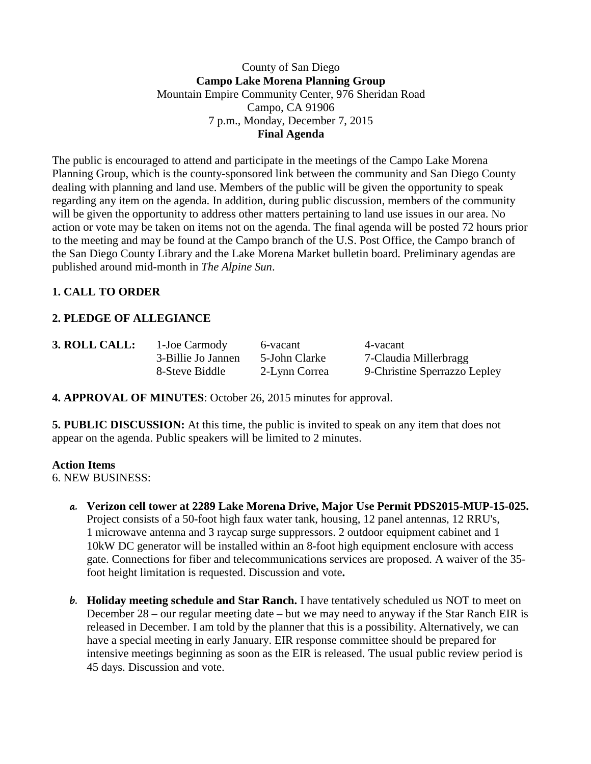#### County of San Diego **Campo Lake Morena Planning Group** Mountain Empire Community Center, 976 Sheridan Road Campo, CA 91906 7 p.m., Monday, December 7, 2015 **Final Agenda**

The public is encouraged to attend and participate in the meetings of the Campo Lake Morena Planning Group, which is the county-sponsored link between the community and San Diego County dealing with planning and land use. Members of the public will be given the opportunity to speak regarding any item on the agenda. In addition, during public discussion, members of the community will be given the opportunity to address other matters pertaining to land use issues in our area. No action or vote may be taken on items not on the agenda. The final agenda will be posted 72 hours prior to the meeting and may be found at the Campo branch of the U.S. Post Office, the Campo branch of the San Diego County Library and the Lake Morena Market bulletin board. Preliminary agendas are published around mid-month in *The Alpine Sun*.

# **1. CALL TO ORDER**

## **2. PLEDGE OF ALLEGIANCE**

**3. ROLL CALL:** 1-Joe Carmody 6-vacant 4-vacant

3-Billie Jo Jannen 5-John Clarke 7-Claudia Millerbragg 8-Steve Biddle 2-Lynn Correa 9-Christine Sperrazzo Lepley

**4. APPROVAL OF MINUTES**: October 26, 2015 minutes for approval.

**5. PUBLIC DISCUSSION:** At this time, the public is invited to speak on any item that does not appear on the agenda. Public speakers will be limited to 2 minutes.

#### **Action Items**

6. NEW BUSINESS:

- **a. Verizon cell tower at 2289 Lake Morena Drive, Major Use Permit PDS2015-MUP-15-025.** Project consists of a 50-foot high faux water tank, housing, 12 panel antennas, 12 RRU's, 1 microwave antenna and 3 raycap surge suppressors. 2 outdoor equipment cabinet and 1 10kW DC generator will be installed within an 8-foot high equipment enclosure with access gate. Connections for fiber and telecommunications services are proposed. A waiver of the 35 foot height limitation is requested. Discussion and vote**.**
- **b. Holiday meeting schedule and Star Ranch.** I have tentatively scheduled us NOT to meet on December 28 – our regular meeting date – but we may need to anyway if the Star Ranch EIR is released in December. I am told by the planner that this is a possibility. Alternatively, we can have a special meeting in early January. EIR response committee should be prepared for intensive meetings beginning as soon as the EIR is released. The usual public review period is 45 days. Discussion and vote.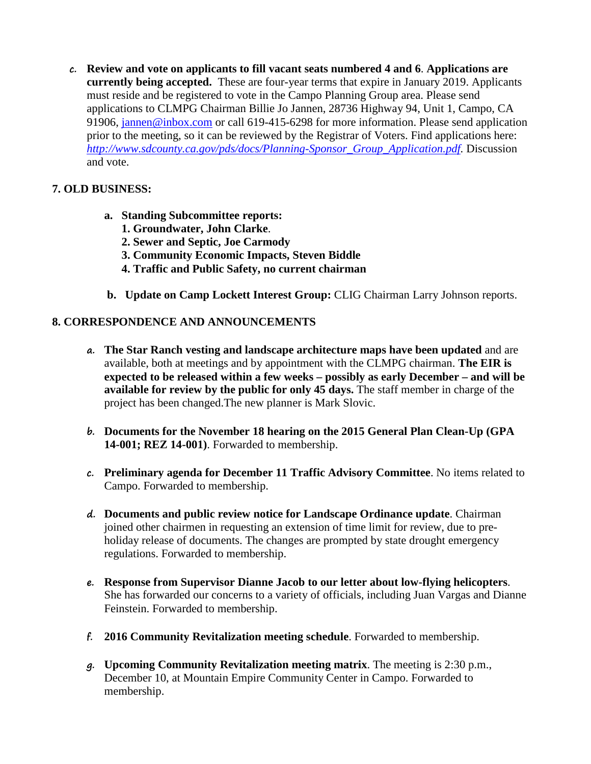**c. Review and vote on applicants to fill vacant seats numbered 4 and 6**. **Applications are currently being accepted.** These are four-year terms that expire in January 2019. Applicants must reside and be registered to vote in the Campo Planning Group area. Please send applications to CLMPG Chairman Billie Jo Jannen, 28736 Highway 94, Unit 1, Campo, CA 91906, [jannen@inbox.com](mailto:campojoe@yahoo.com) or call 619-415-6298 for more information. Please send application prior to the meeting, so it can be reviewed by the Registrar of Voters. Find applications here: *[http://www.sdcounty.ca.gov/pds/docs/Planning-Sponsor\\_Group\\_Application.pdf.](http://www.sdcounty.ca.gov/pds/docs/Planning-Sponsor_Group_Application.pdf)* Discussion and vote.

## **7. OLD BUSINESS:**

- **a. Standing Subcommittee reports:**
	- **1. Groundwater, John Clarke**.
	- **2. Sewer and Septic, Joe Carmody**
	- **3. Community Economic Impacts, Steven Biddle**
	- **4. Traffic and Public Safety, no current chairman**
- **b. Update on Camp Lockett Interest Group:** CLIG Chairman Larry Johnson reports.

## **8. CORRESPONDENCE AND ANNOUNCEMENTS**

- **a. The Star Ranch vesting and landscape architecture maps have been updated** and are available, both at meetings and by appointment with the CLMPG chairman. **The EIR is expected to be released within a few weeks – possibly as early December – and will be available for review by the public for only 45 days.** The staff member in charge of the project has been changed.The new planner is Mark Slovic.
- **b. Documents for the November 18 hearing on the 2015 General Plan Clean-Up (GPA 14-001; REZ 14-001)**. Forwarded to membership.
- **c. Preliminary agenda for December 11 Traffic Advisory Committee**. No items related to Campo. Forwarded to membership.
- **d. Documents and public review notice for Landscape Ordinance update**. Chairman joined other chairmen in requesting an extension of time limit for review, due to preholiday release of documents. The changes are prompted by state drought emergency regulations. Forwarded to membership.
- **e. Response from Supervisor Dianne Jacob to our letter about low-flying helicopters**. She has forwarded our concerns to a variety of officials, including Juan Vargas and Dianne Feinstein. Forwarded to membership.
- **f. 2016 Community Revitalization meeting schedule**. Forwarded to membership.
- **g. Upcoming Community Revitalization meeting matrix**. The meeting is 2:30 p.m., December 10, at Mountain Empire Community Center in Campo. Forwarded to membership.